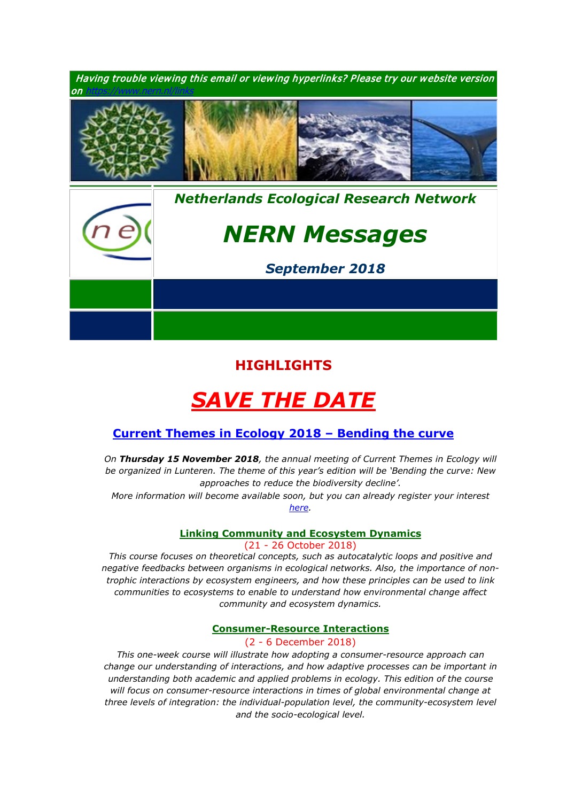

# **HIGHLIGHTS**

# *SAVE THE DATE*

# **[Current Themes in Ecology 2018 –](https://www.nern.nl/node/19362) Bending the curve**

*1. On Thursday 15 November 2018, the annual meeting of Current Themes in Ecology will be organized in Lunteren. The theme of this year's edition will be 'Bending the curve: New approaches to reduce the biodiversity decline'.*

*2. More information will become available soon, but you can already register your interest [here.](https://www.nern.nl/node/19362)*

## **[Linking Community and Ecosystem Dynamics](https://www.rug.nl/research/ecology-and-evolution/phdcourses/linkingcommunityecosystemdynamics)**

5. (21 - 26 October 2018)

*This course focuses on theoretical concepts, such as autocatalytic loops and positive and negative feedbacks between organisms in ecological networks. Also, the importance of nontrophic interactions by ecosystem engineers, and how these principles can be used to link communities to ecosystems to enable to understand how environmental change affect community and ecosystem dynamics.*

### **[Consumer-Resource Interactions](https://www.pe-rc.nl/postgraduate-courses/consumer-resource-interactions)**

(2 - 6 December 2018)

*This one-week course will illustrate how adopting a consumer-resource approach can change our understanding of interactions, and how adaptive processes can be important in understanding both academic and applied problems in ecology. This edition of the course will focus on consumer-resource interactions in times of global environmental change at three levels of integration: the individual-population level, the community-ecosystem level and the socio-ecological level.*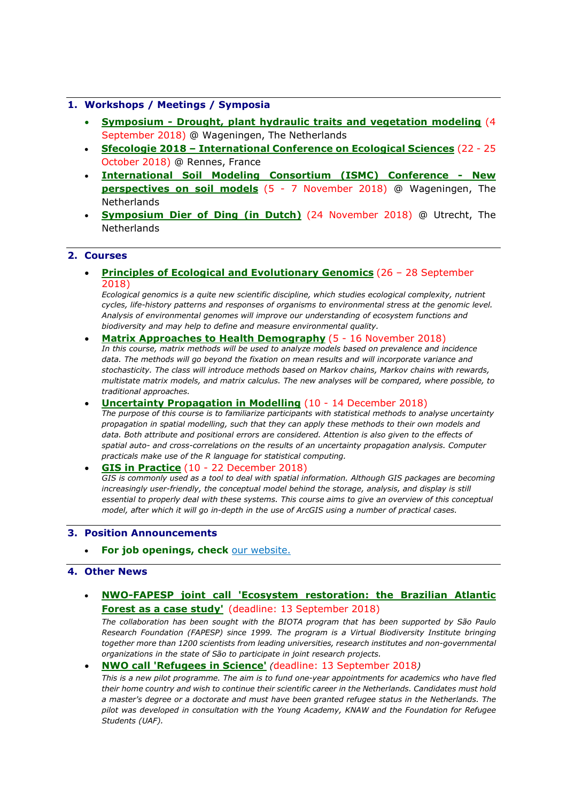## **1. Workshops / Meetings / Symposia**

- **Symposium - [Drought, plant hydraulic traits and vegetation modeling](https://www.pe-rc.nl/drought-symposium)** (4 September 2018) @ Wageningen, The Netherlands
- **Sfecologie 2018 – [International Conference on Ecological Sciences](https://sfecologie2018.sciencesconf.org/)** (22 25 October 2018) @ Rennes, France
- **[International Soil Modeling Consortium \(ISMC\) Conference -](https://www.nern.nl/sites/default/files/ISMC_conference_announcement_2018.pdf) New [perspectives on soil models](https://www.nern.nl/sites/default/files/ISMC_conference_announcement_2018.pdf)** (5 - 7 November 2018) @ Wageningen, The Netherlands
- **[Symposium Dier of Ding \(in Dutch\)](https://www.nern.nl/sites/default/files/Symposium%20Dier%20of%20Ding.pdf)** (24 November 2018) @ Utrecht, The **Netherlands**

#### **2. Courses**

• **[Principles of Ecological and Evolutionary Genomics](http://www.sense.nl/courses/past/10845112/Principles-of-Ecological-Genomics)** (26 – 28 September 2018)

*Ecological genomics is a quite new scientific discipline, which studies ecological complexity, nutrient cycles, life-history patterns and responses of organisms to environmental stress at the genomic level. Analysis of environmental genomes will improve our understanding of ecosystem functions and biodiversity and may help to define and measure environmental quality.*

• **[Matrix Approaches to Health Demography](https://www.demogr.mpg.de/en/education_career/international_advanced_studies_in_demography_3279/upcoming_courses_3762/matrix_approaches_to_health_demography_5603/default.htm)** (5 - 16 November 2018) *In this course, matrix methods will be used to analyze models based on prevalence and incidence data. The methods will go beyond the fixation on mean results and will incorporate variance and stochasticity. The class will introduce methods based on Markov chains, Markov chains with rewards, multistate matrix models, and matrix calculus. The new analyses will be compared, where possible, to traditional approaches.*

• **[Uncertainty Propagation in Modelling](https://www.pe-rc.nl/node/19191)** (10 - 14 December 2018) *The purpose of this course is to familiarize participants with statistical methods to analyse uncertainty propagation in spatial modelling, such that they can apply these methods to their own models and data. Both attribute and positional errors are considered. Attention is also given to the effects of spatial auto- and cross-correlations on the results of an uncertainty propagation analysis. Computer practicals make use of the R language for statistical computing.*

• **[GIS in Practice](https://www.pe-rc.nl/postgraduate-courses/gis-in-practice)** (10 - 22 December 2018) *GIS is commonly used as a tool to deal with spatial information. Although GIS packages are becoming increasingly user-friendly, the conceptual model behind the storage, analysis, and display is still essential to properly deal with these systems. This course aims to give an overview of this conceptual model, after which it will go in-depth in the use of ArcGIS using a number of practical cases.*

#### **3. Position Announcements**

• **For job openings, check** [our website.](https://www.nern.nl/jobs)

#### **4. Other News**

• **[NWO-FAPESP joint call 'Ecosystem restoration: the Brazilian Atlantic](https://www.nwo.nl/en/funding/our-funding-instruments/enw/nwo-fapesp-joint-call-for-proposals/nwo-fapesp-joint-call-for-proposals.html)  [Forest as a case study'](https://www.nwo.nl/en/funding/our-funding-instruments/enw/nwo-fapesp-joint-call-for-proposals/nwo-fapesp-joint-call-for-proposals.html)** (deadline: 13 September 2018)

*The collaboration has been sought with the BIOTA program that has been supported by São Paulo Research Foundation (FAPESP) since 1999. The program is a Virtual Biodiversity Institute bringing together more than 1200 scientists from leading universities, research institutes and non-governmental organizations in the state of São to participate in joint research projects.*

• **[NWO call 'Refugees in Science'](http://www.nwo.nl/en/news-and-events/news/2018/05/nwo-launches-new-refugees-in-science-pilot.html)** *(*deadline: 13 September 2018*)*

*This is a new pilot programme. The aim is to fund one-year appointments for academics who have fled their home country and wish to continue their scientific career in the Netherlands. Candidates must hold a master's degree or a doctorate and must have been granted refugee status in the Netherlands. The pilot was developed in consultation with the Young Academy, KNAW and the Foundation for Refugee Students (UAF).*